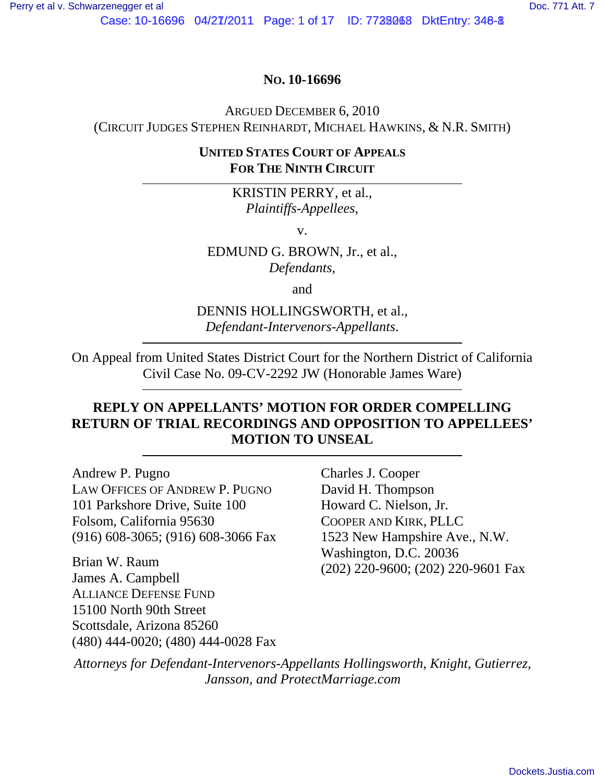Case: 10-16696 04/27/2011 Page: 1 of 17 ID: 7728068 DktEntry: 348-8

## **NO. 10-16696**

ARGUED DECEMBER 6, 2010

(CIRCUIT JUDGES STEPHEN REINHARDT, MICHAEL HAWKINS, & N.R. SMITH)

## **UNITED STATES COURT OF APPEALS FOR THE NINTH CIRCUIT**

KRISTIN PERRY, et al., *Plaintiffs-Appellees*,

v.

EDMUND G. BROWN, Jr., et al., *Defendants*,

and

DENNIS HOLLINGSWORTH, et al., *Defendant-Intervenors-Appellants*.

On Appeal from United States District Court for the Northern District of California Civil Case No. 09-CV-2292 JW (Honorable James Ware)

## **REPLY ON APPELLANTS' MOTION FOR ORDER COMPELLING RETURN OF TRIAL RECORDINGS AND OPPOSITION TO APPELLEES' MOTION TO UNSEAL**

Andrew P. Pugno LAW OFFICES OF ANDREW P. PUGNO 101 Parkshore Drive, Suite 100 Folsom, California 95630 (916) 608-3065; (916) 608-3066 Fax

Brian W. Raum James A. Campbell ALLIANCE DEFENSE FUND 15100 North 90th Street Scottsdale, Arizona 85260 (480) 444-0020; (480) 444-0028 Fax Charles J. Cooper David H. Thompson Howard C. Nielson, Jr. COOPER AND KIRK, PLLC 1523 New Hampshire Ave., N.W. Washington, D.C. 20036 (202) 220-9600; (202) 220-9601 Fax

*Attorneys for Defendant-Intervenors-Appellants Hollingsworth, Knight, Gutierrez, Jansson, and ProtectMarriage.com*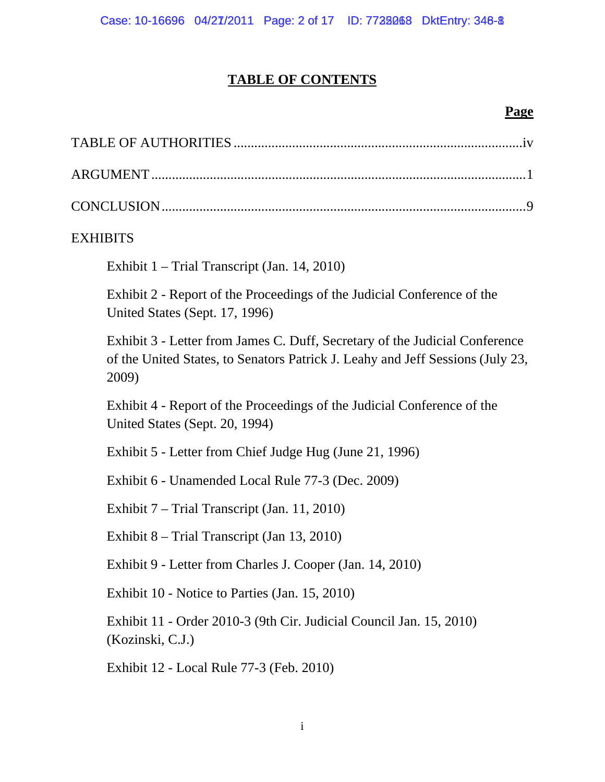# **TABLE OF CONTENTS**

## **Page**

| <b>EXHIBITS</b>                                                                                                                                                        |
|------------------------------------------------------------------------------------------------------------------------------------------------------------------------|
| Exhibit 1 – Trial Transcript (Jan. 14, 2010)                                                                                                                           |
| Exhibit 2 - Report of the Proceedings of the Judicial Conference of the<br>United States (Sept. 17, 1996)                                                              |
| Exhibit 3 - Letter from James C. Duff, Secretary of the Judicial Conference<br>of the United States, to Senators Patrick J. Leahy and Jeff Sessions (July 23,<br>2009) |
| Exhibit 4 - Report of the Proceedings of the Judicial Conference of the<br>United States (Sept. 20, 1994)                                                              |
| Exhibit 5 - Letter from Chief Judge Hug (June 21, 1996)                                                                                                                |
| Exhibit 6 - Unamended Local Rule 77-3 (Dec. 2009)                                                                                                                      |
| Exhibit 7 – Trial Transcript (Jan. 11, 2010)                                                                                                                           |
| Exhibit 8 - Trial Transcript (Jan 13, 2010)                                                                                                                            |
| Exhibit 9 - Letter from Charles J. Cooper (Jan. 14, 2010)                                                                                                              |
| Exhibit 10 - Notice to Parties (Jan. 15, 2010)                                                                                                                         |
| Exhibit 11 - Order 2010-3 (9th Cir. Judicial Council Jan. 15, 2010)<br>(Kozinski, C.J.)                                                                                |
| Exhibit 12 - Local Rule 77-3 (Feb. 2010)                                                                                                                               |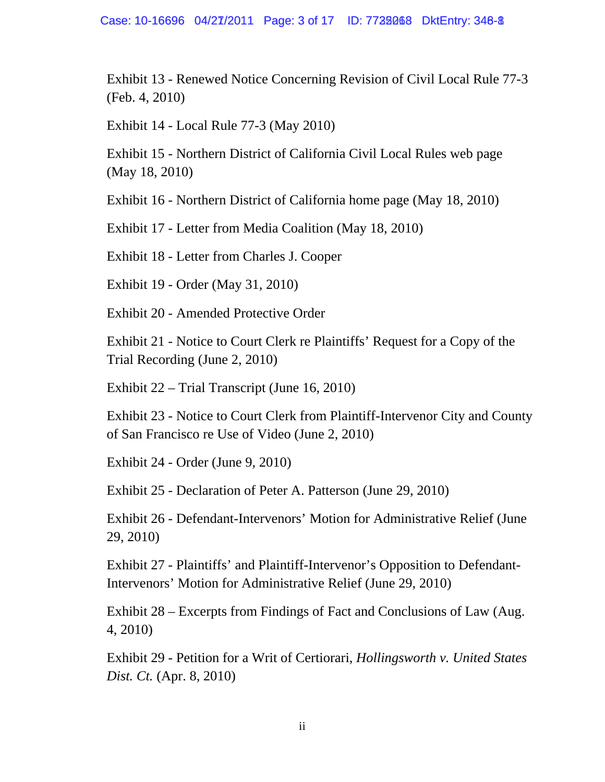Exhibit 13 - Renewed Notice Concerning Revision of Civil Local Rule 77-3 (Feb. 4, 2010)

Exhibit 14 - Local Rule 77-3 (May 2010)

Exhibit 15 - Northern District of California Civil Local Rules web page (May 18, 2010)

Exhibit 16 - Northern District of California home page (May 18, 2010)

Exhibit 17 - Letter from Media Coalition (May 18, 2010)

Exhibit 18 - Letter from Charles J. Cooper

Exhibit 19 - Order (May 31, 2010)

Exhibit 20 - Amended Protective Order

Exhibit 21 - Notice to Court Clerk re Plaintiffs' Request for a Copy of the Trial Recording (June 2, 2010)

Exhibit 22 – Trial Transcript (June 16, 2010)

Exhibit 23 - Notice to Court Clerk from Plaintiff-Intervenor City and County of San Francisco re Use of Video (June 2, 2010)

Exhibit 24 - Order (June 9, 2010)

Exhibit 25 - Declaration of Peter A. Patterson (June 29, 2010)

Exhibit 26 - Defendant-Intervenors' Motion for Administrative Relief (June 29, 2010)

Exhibit 27 - Plaintiffs' and Plaintiff-Intervenor's Opposition to Defendant-Intervenors' Motion for Administrative Relief (June 29, 2010)

Exhibit 28 – Excerpts from Findings of Fact and Conclusions of Law (Aug. 4, 2010)

Exhibit 29 - Petition for a Writ of Certiorari, *Hollingsworth v. United States Dist. Ct.* (Apr. 8, 2010)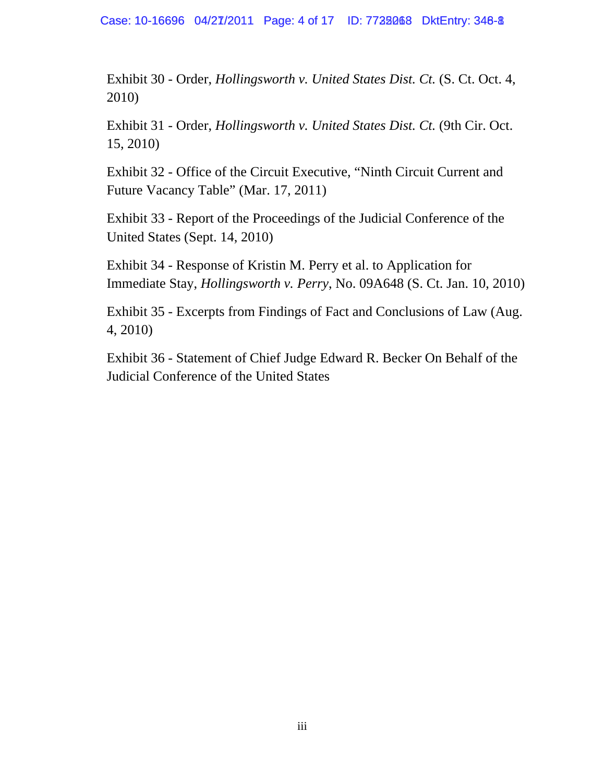Case: 10-16696 04/27/2011 Page: 4 of 17 ID: 7738068 DktEntry: 348-8

Exhibit 30 - Order, *Hollingsworth v. United States Dist. Ct.* (S. Ct. Oct. 4, 2010)

Exhibit 31 - Order, *Hollingsworth v. United States Dist. Ct.* (9th Cir. Oct. 15, 2010)

Exhibit 32 - Office of the Circuit Executive, "Ninth Circuit Current and Future Vacancy Table" (Mar. 17, 2011)

Exhibit 33 - Report of the Proceedings of the Judicial Conference of the United States (Sept. 14, 2010)

Exhibit 34 - Response of Kristin M. Perry et al. to Application for Immediate Stay, *Hollingsworth v. Perry*, No. 09A648 (S. Ct. Jan. 10, 2010)

Exhibit 35 - Excerpts from Findings of Fact and Conclusions of Law (Aug. 4, 2010)

Exhibit 36 - Statement of Chief Judge Edward R. Becker On Behalf of the Judicial Conference of the United States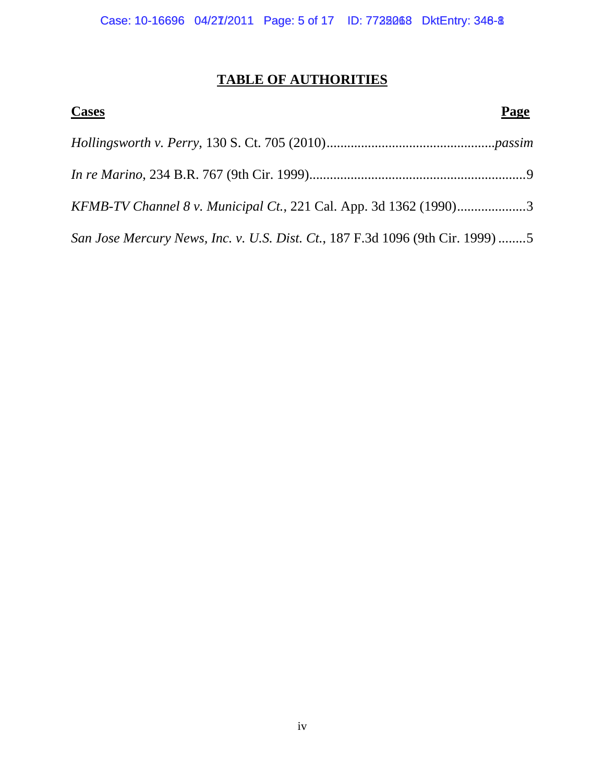## **TABLE OF AUTHORITIES**

| <b>Cases</b>                                                                   | Page |
|--------------------------------------------------------------------------------|------|
|                                                                                |      |
|                                                                                |      |
| KFMB-TV Channel 8 v. Municipal Ct., 221 Cal. App. 3d 1362 (1990)3              |      |
| San Jose Mercury News, Inc. v. U.S. Dist. Ct., 187 F.3d 1096 (9th Cir. 1999) 5 |      |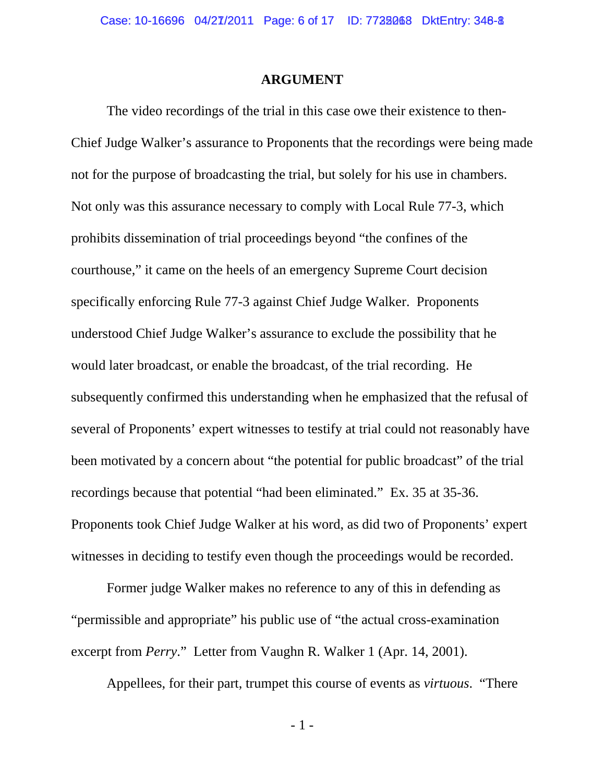### **ARGUMENT**

The video recordings of the trial in this case owe their existence to then-Chief Judge Walker's assurance to Proponents that the recordings were being made not for the purpose of broadcasting the trial, but solely for his use in chambers. Not only was this assurance necessary to comply with Local Rule 77-3, which prohibits dissemination of trial proceedings beyond "the confines of the courthouse," it came on the heels of an emergency Supreme Court decision specifically enforcing Rule 77-3 against Chief Judge Walker. Proponents understood Chief Judge Walker's assurance to exclude the possibility that he would later broadcast, or enable the broadcast, of the trial recording. He subsequently confirmed this understanding when he emphasized that the refusal of several of Proponents' expert witnesses to testify at trial could not reasonably have been motivated by a concern about "the potential for public broadcast" of the trial recordings because that potential "had been eliminated." Ex. 35 at 35-36. Proponents took Chief Judge Walker at his word, as did two of Proponents' expert witnesses in deciding to testify even though the proceedings would be recorded.

Former judge Walker makes no reference to any of this in defending as "permissible and appropriate" his public use of "the actual cross-examination excerpt from *Perry*." Letter from Vaughn R. Walker 1 (Apr. 14, 2001).

Appellees, for their part, trumpet this course of events as *virtuous*. "There

- 1 -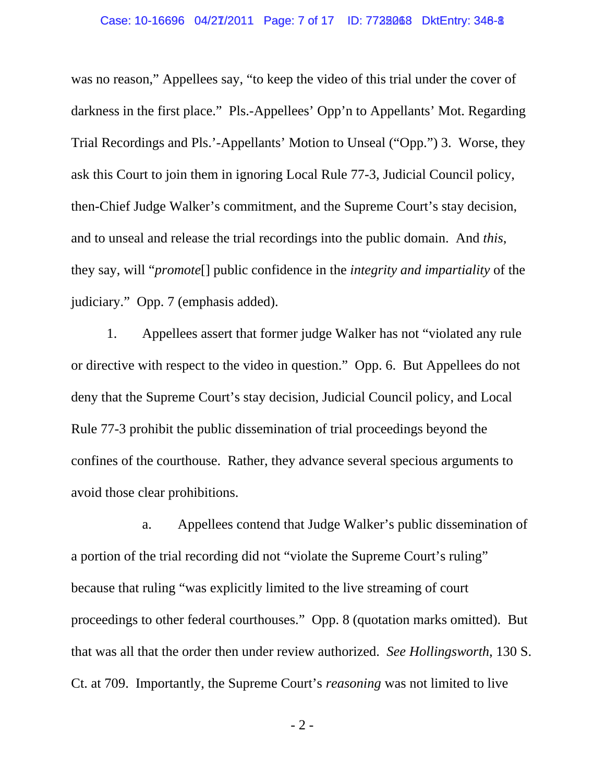### Case: 10-16696 04/27/2011 Page: 7 of 17 ID: 7738068 DktEntry: 348-8

was no reason," Appellees say, "to keep the video of this trial under the cover of darkness in the first place." Pls.-Appellees' Opp'n to Appellants' Mot. Regarding Trial Recordings and Pls.'-Appellants' Motion to Unseal ("Opp.") 3. Worse, they ask this Court to join them in ignoring Local Rule 77-3, Judicial Council policy, then-Chief Judge Walker's commitment, and the Supreme Court's stay decision, and to unseal and release the trial recordings into the public domain. And *this*, they say, will "*promote*[] public confidence in the *integrity and impartiality* of the judiciary." Opp. 7 (emphasis added).

1. Appellees assert that former judge Walker has not "violated any rule or directive with respect to the video in question." Opp. 6. But Appellees do not deny that the Supreme Court's stay decision, Judicial Council policy, and Local Rule 77-3 prohibit the public dissemination of trial proceedings beyond the confines of the courthouse. Rather, they advance several specious arguments to avoid those clear prohibitions.

a. Appellees contend that Judge Walker's public dissemination of a portion of the trial recording did not "violate the Supreme Court's ruling" because that ruling "was explicitly limited to the live streaming of court proceedings to other federal courthouses." Opp. 8 (quotation marks omitted). But that was all that the order then under review authorized. *See Hollingsworth*, 130 S. Ct. at 709. Importantly, the Supreme Court's *reasoning* was not limited to live

- 2 -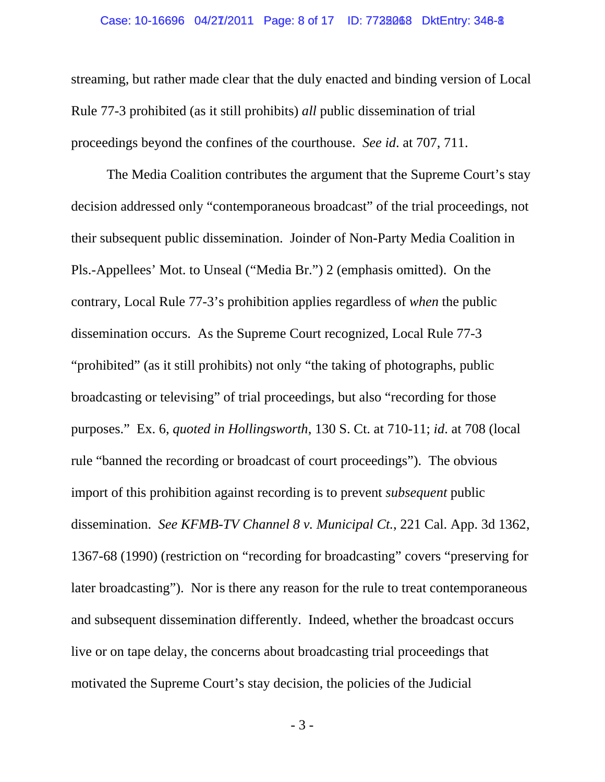### Case: 10-16696 04/27/2011 Page: 8 of 17 ID: 7728068 DktEntry: 348-8

streaming, but rather made clear that the duly enacted and binding version of Local Rule 77-3 prohibited (as it still prohibits) *all* public dissemination of trial proceedings beyond the confines of the courthouse. *See id*. at 707, 711.

The Media Coalition contributes the argument that the Supreme Court's stay decision addressed only "contemporaneous broadcast" of the trial proceedings, not their subsequent public dissemination. Joinder of Non-Party Media Coalition in Pls.-Appellees' Mot. to Unseal ("Media Br.") 2 (emphasis omitted). On the contrary, Local Rule 77-3's prohibition applies regardless of *when* the public dissemination occurs. As the Supreme Court recognized, Local Rule 77-3 "prohibited" (as it still prohibits) not only "the taking of photographs, public broadcasting or televising" of trial proceedings, but also "recording for those purposes." Ex. 6, *quoted in Hollingsworth*, 130 S. Ct. at 710-11; *id*. at 708 (local rule "banned the recording or broadcast of court proceedings"). The obvious import of this prohibition against recording is to prevent *subsequent* public dissemination. *See KFMB-TV Channel 8 v. Municipal Ct.*, 221 Cal. App. 3d 1362, 1367-68 (1990) (restriction on "recording for broadcasting" covers "preserving for later broadcasting"). Nor is there any reason for the rule to treat contemporaneous and subsequent dissemination differently. Indeed, whether the broadcast occurs live or on tape delay, the concerns about broadcasting trial proceedings that motivated the Supreme Court's stay decision, the policies of the Judicial

- 3 -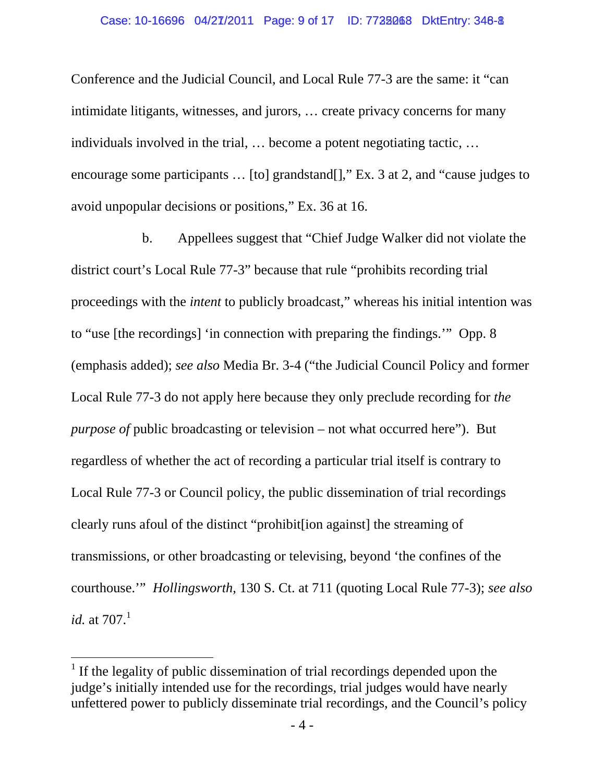#### Case: 10-16696 04/27/2011 Page: 9 of 17 ID: 7738068 DktEntry: 348-8

Conference and the Judicial Council, and Local Rule 77-3 are the same: it "can intimidate litigants, witnesses, and jurors, … create privacy concerns for many individuals involved in the trial, … become a potent negotiating tactic, … encourage some participants … [to] grandstand[]," Ex. 3 at 2, and "cause judges to avoid unpopular decisions or positions," Ex. 36 at 16.

b. Appellees suggest that "Chief Judge Walker did not violate the district court's Local Rule 77-3" because that rule "prohibits recording trial proceedings with the *intent* to publicly broadcast," whereas his initial intention was to "use [the recordings] 'in connection with preparing the findings.'" Opp. 8 (emphasis added); *see also* Media Br. 3-4 ("the Judicial Council Policy and former Local Rule 77-3 do not apply here because they only preclude recording for *the purpose of* public broadcasting or television – not what occurred here"). But regardless of whether the act of recording a particular trial itself is contrary to Local Rule 77-3 or Council policy, the public dissemination of trial recordings clearly runs afoul of the distinct "prohibit[ion against] the streaming of transmissions, or other broadcasting or televising, beyond 'the confines of the courthouse.'" *Hollingsworth*, 130 S. Ct. at 711 (quoting Local Rule 77-3); *see also id.* at  $707.1$ 

 $\overline{a}$ 

<sup>&</sup>lt;sup>1</sup> If the legality of public dissemination of trial recordings depended upon the judge's initially intended use for the recordings, trial judges would have nearly unfettered power to publicly disseminate trial recordings, and the Council's policy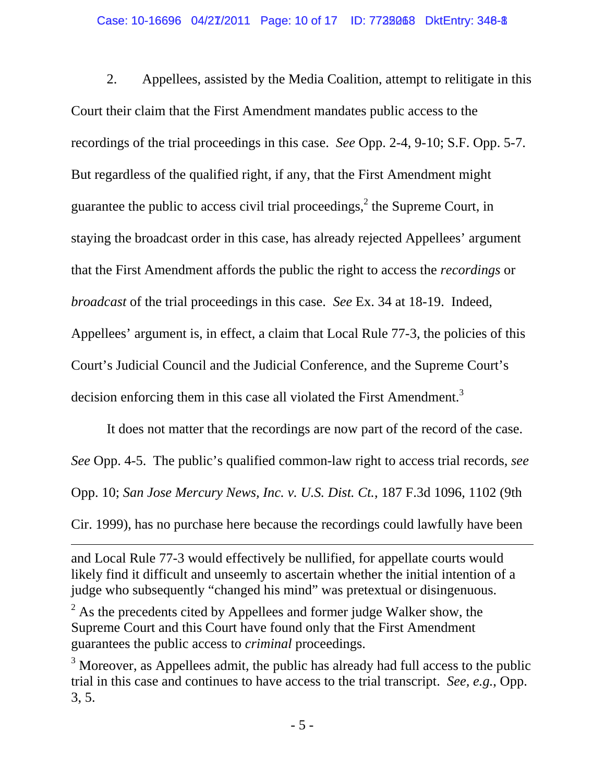## Case: 10-16696 04/27/2011 Page: 10 of 17 ID: 7728068 DktEntry: 348-8

2. Appellees, assisted by the Media Coalition, attempt to relitigate in this Court their claim that the First Amendment mandates public access to the recordings of the trial proceedings in this case. *See* Opp. 2-4, 9-10; S.F. Opp. 5-7. But regardless of the qualified right, if any, that the First Amendment might guarantee the public to access civil trial proceedings,  $2$  the Supreme Court, in staying the broadcast order in this case, has already rejected Appellees' argument that the First Amendment affords the public the right to access the *recordings* or *broadcast* of the trial proceedings in this case. *See* Ex. 34 at 18-19. Indeed, Appellees' argument is, in effect, a claim that Local Rule 77-3, the policies of this Court's Judicial Council and the Judicial Conference, and the Supreme Court's decision enforcing them in this case all violated the First Amendment.<sup>3</sup>

It does not matter that the recordings are now part of the record of the case. *See* Opp. 4-5. The public's qualified common-law right to access trial records, *see* Opp. 10; *San Jose Mercury News, Inc. v. U.S. Dist. Ct.*, 187 F.3d 1096, 1102 (9th Cir. 1999), has no purchase here because the recordings could lawfully have been

 $\overline{a}$ 

and Local Rule 77-3 would effectively be nullified, for appellate courts would likely find it difficult and unseemly to ascertain whether the initial intention of a judge who subsequently "changed his mind" was pretextual or disingenuous.

 $2^{2}$  As the precedents cited by Appellees and former judge Walker show, the Supreme Court and this Court have found only that the First Amendment guarantees the public access to *criminal* proceedings.

 $3$  Moreover, as Appellees admit, the public has already had full access to the public trial in this case and continues to have access to the trial transcript. *See, e.g.*, Opp. 3, 5.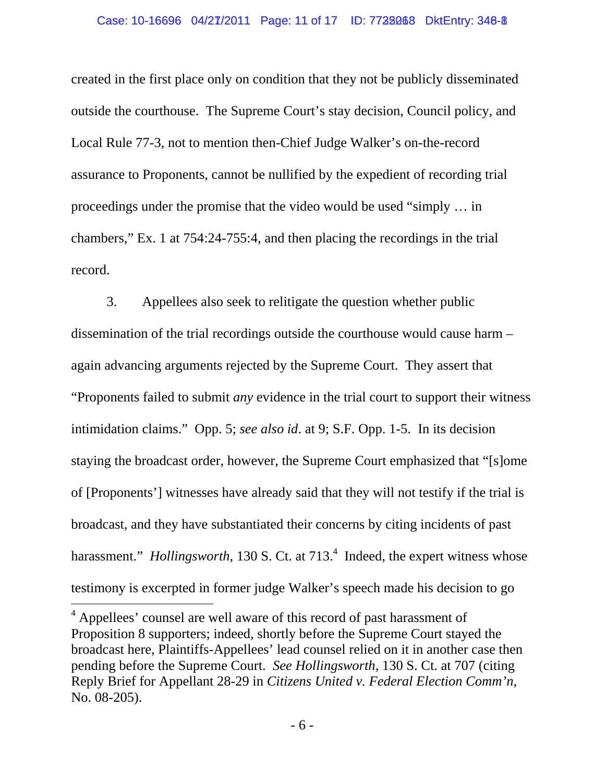## Case: 10-16696 04/27/2011 Page: 11 of 17 ID: 7738068 DktEntry: 348-8

created in the first place only on condition that they not be publicly disseminated outside the courthouse. The Supreme Court's stay decision, Council policy, and Local Rule 77-3, not to mention then-Chief Judge Walker's on-the-record assurance to Proponents, cannot be nullified by the expedient of recording trial proceedings under the promise that the video would be used "simply … in chambers," Ex. 1 at 754:24-755:4, and then placing the recordings in the trial record.

3. Appellees also seek to relitigate the question whether public dissemination of the trial recordings outside the courthouse would cause harm – again advancing arguments rejected by the Supreme Court. They assert that "Proponents failed to submit *any* evidence in the trial court to support their witness intimidation claims." Opp. 5; *see also id*. at 9; S.F. Opp. 1-5. In its decision staying the broadcast order, however, the Supreme Court emphasized that "[s]ome of [Proponents'] witnesses have already said that they will not testify if the trial is broadcast, and they have substantiated their concerns by citing incidents of past harassment." *Hollingsworth*, 130 S. Ct. at 713.<sup>4</sup> Indeed, the expert witness whose testimony is excerpted in former judge Walker's speech made his decision to go

 $\overline{a}$ 

<sup>&</sup>lt;sup>4</sup> Appellees' counsel are well aware of this record of past harassment of Proposition 8 supporters; indeed, shortly before the Supreme Court stayed the broadcast here, Plaintiffs-Appellees' lead counsel relied on it in another case then pending before the Supreme Court. *See Hollingsworth*, 130 S. Ct. at 707 (citing Reply Brief for Appellant 28-29 in *Citizens United v. Federal Election Comm'n*, No. 08-205).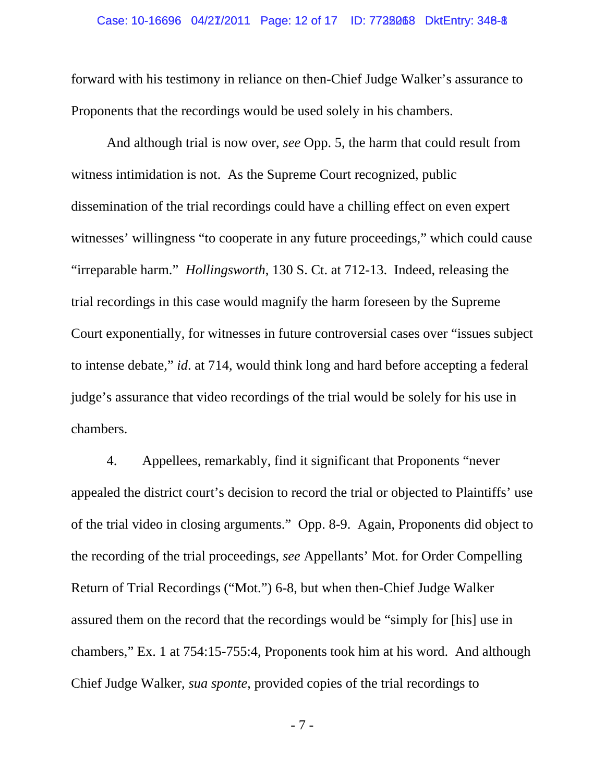### Case: 10-16696 04/27/2011 Page: 12 of 17 ID: 7738068 DktEntry: 348-8

forward with his testimony in reliance on then-Chief Judge Walker's assurance to Proponents that the recordings would be used solely in his chambers.

And although trial is now over, *see* Opp. 5, the harm that could result from witness intimidation is not. As the Supreme Court recognized, public dissemination of the trial recordings could have a chilling effect on even expert witnesses' willingness "to cooperate in any future proceedings," which could cause "irreparable harm." *Hollingsworth*, 130 S. Ct. at 712-13. Indeed, releasing the trial recordings in this case would magnify the harm foreseen by the Supreme Court exponentially, for witnesses in future controversial cases over "issues subject to intense debate," *id*. at 714, would think long and hard before accepting a federal judge's assurance that video recordings of the trial would be solely for his use in chambers.

4. Appellees, remarkably, find it significant that Proponents "never appealed the district court's decision to record the trial or objected to Plaintiffs' use of the trial video in closing arguments." Opp. 8-9. Again, Proponents did object to the recording of the trial proceedings, *see* Appellants' Mot. for Order Compelling Return of Trial Recordings ("Mot.") 6-8, but when then-Chief Judge Walker assured them on the record that the recordings would be "simply for [his] use in chambers," Ex. 1 at 754:15-755:4, Proponents took him at his word. And although Chief Judge Walker, *sua sponte*, provided copies of the trial recordings to

- 7 -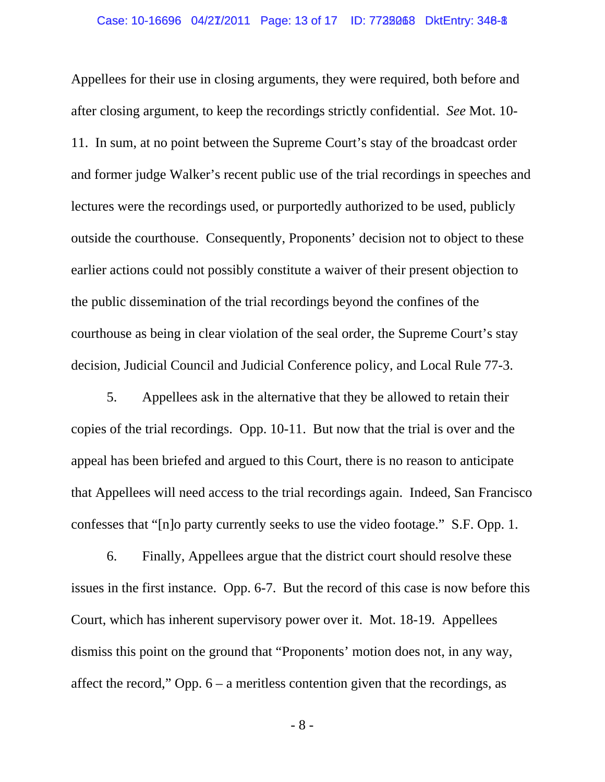## Case: 10-16696 04/27/2011 Page: 13 of 17 ID: 7728068 DktEntry: 348-8

Appellees for their use in closing arguments, they were required, both before and after closing argument, to keep the recordings strictly confidential. *See* Mot. 10- 11. In sum, at no point between the Supreme Court's stay of the broadcast order and former judge Walker's recent public use of the trial recordings in speeches and lectures were the recordings used, or purportedly authorized to be used, publicly outside the courthouse. Consequently, Proponents' decision not to object to these earlier actions could not possibly constitute a waiver of their present objection to the public dissemination of the trial recordings beyond the confines of the courthouse as being in clear violation of the seal order, the Supreme Court's stay decision, Judicial Council and Judicial Conference policy, and Local Rule 77-3.

5. Appellees ask in the alternative that they be allowed to retain their copies of the trial recordings. Opp. 10-11. But now that the trial is over and the appeal has been briefed and argued to this Court, there is no reason to anticipate that Appellees will need access to the trial recordings again. Indeed, San Francisco confesses that "[n]o party currently seeks to use the video footage." S.F. Opp. 1.

6. Finally, Appellees argue that the district court should resolve these issues in the first instance. Opp. 6-7. But the record of this case is now before this Court, which has inherent supervisory power over it. Mot. 18-19. Appellees dismiss this point on the ground that "Proponents' motion does not, in any way, affect the record," Opp. 6 – a meritless contention given that the recordings, as

- 8 -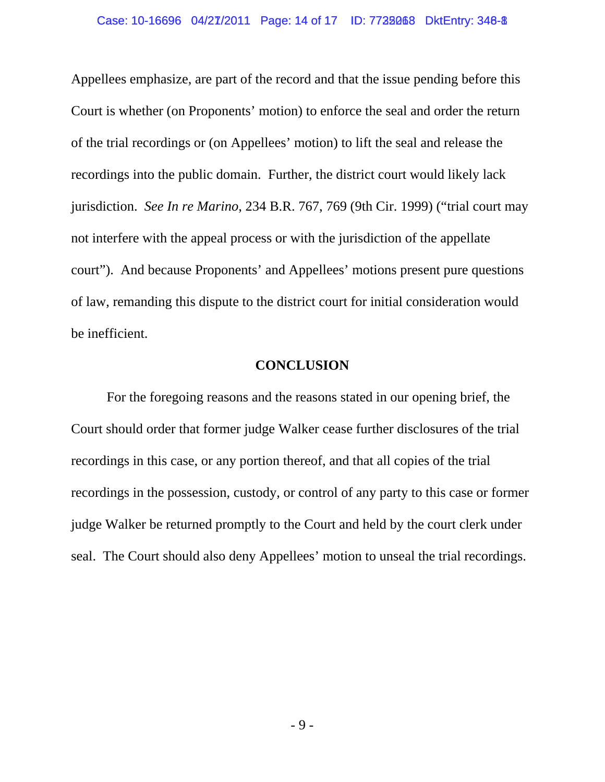Appellees emphasize, are part of the record and that the issue pending before this Court is whether (on Proponents' motion) to enforce the seal and order the return of the trial recordings or (on Appellees' motion) to lift the seal and release the recordings into the public domain. Further, the district court would likely lack jurisdiction. *See In re Marino*, 234 B.R. 767, 769 (9th Cir. 1999) ("trial court may not interfere with the appeal process or with the jurisdiction of the appellate court"). And because Proponents' and Appellees' motions present pure questions of law, remanding this dispute to the district court for initial consideration would be inefficient.

### **CONCLUSION**

 For the foregoing reasons and the reasons stated in our opening brief, the Court should order that former judge Walker cease further disclosures of the trial recordings in this case, or any portion thereof, and that all copies of the trial recordings in the possession, custody, or control of any party to this case or former judge Walker be returned promptly to the Court and held by the court clerk under seal. The Court should also deny Appellees' motion to unseal the trial recordings.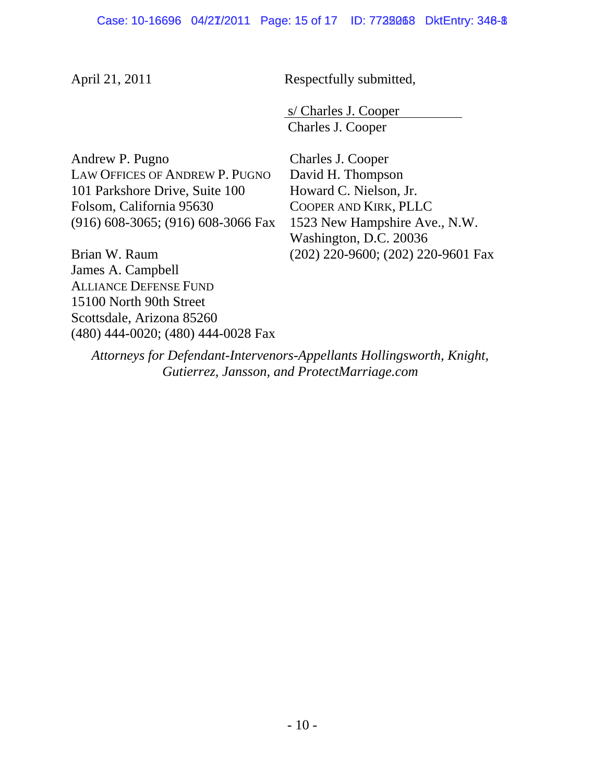April 21, 2011 Respectfully submitted,

 s/ Charles J. Cooper Charles J. Cooper

Andrew P. Pugno LAW OFFICES OF ANDREW P. PUGNO 101 Parkshore Drive, Suite 100 Folsom, California 95630 (916) 608-3065; (916) 608-3066 Fax

Brian W. Raum James A. Campbell ALLIANCE DEFENSE FUND 15100 North 90th Street Scottsdale, Arizona 85260 (480) 444-0020; (480) 444-0028 Fax Charles J. Cooper David H. Thompson Howard C. Nielson, Jr. COOPER AND KIRK, PLLC 1523 New Hampshire Ave., N.W. Washington, D.C. 20036 (202) 220-9600; (202) 220-9601 Fax

*Attorneys for Defendant-Intervenors-Appellants Hollingsworth, Knight, Gutierrez, Jansson, and ProtectMarriage.com*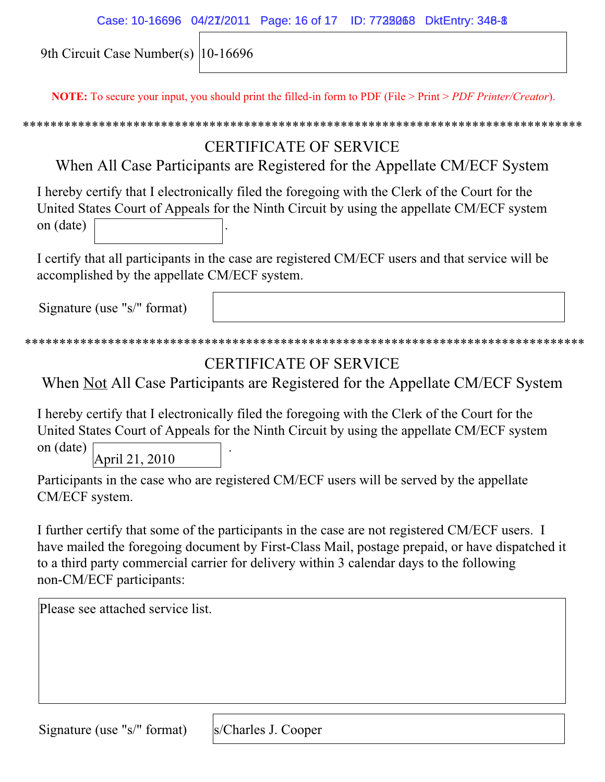| Case: 10-16696 04/27/2011 Page: 16 of 17 ID: 7738068 DktEntry: 348-8 |  |  |
|----------------------------------------------------------------------|--|--|
|                                                                      |  |  |

9th Circuit Case Number(s) 10-16696

**NOTE:** To secure your input, you should print the filled-in form to PDF (File > Print > *PDF Printer/Creator*).

## \*\*\*\*\*\*\*\*\*\*\*\*\*\*\*\*\*\*\*\*\*\*\*\*\*\*\*\*\*\*\*\*\*\*\*\*\*\*\*\*\*\*\*\*\*\*\*\*\*\*\*\*\*\*\*\*\*\*\*\*\*\*\*\*\*\*\*\*\*\*\*\*\*\*\*\*\*\*\*\*\*

## CERTIFICATE OF SERVICE

When All Case Participants are Registered for the Appellate CM/ECF System

I hereby certify that I electronically filed the foregoing with the Clerk of the Court for the United States Court of Appeals for the Ninth Circuit by using the appellate CM/ECF system on (date) .

I certify that all participants in the case are registered CM/ECF users and that service will be accomplished by the appellate CM/ECF system.

Signature (use "s/" format)

```
*********************************************************************************
```
# CERTIFICATE OF SERVICE

When Not All Case Participants are Registered for the Appellate CM/ECF System

I hereby certify that I electronically filed the foregoing with the Clerk of the Court for the United States Court of Appeals for the Ninth Circuit by using the appellate CM/ECF system

on (date) . April 21, 2010

Participants in the case who are registered CM/ECF users will be served by the appellate CM/ECF system.

I further certify that some of the participants in the case are not registered CM/ECF users. I have mailed the foregoing document by First-Class Mail, postage prepaid, or have dispatched it to a third party commercial carrier for delivery within 3 calendar days to the following non-CM/ECF participants:

Please see attached service list.

Signature (use "s/" format)

s/Charles J. Cooper